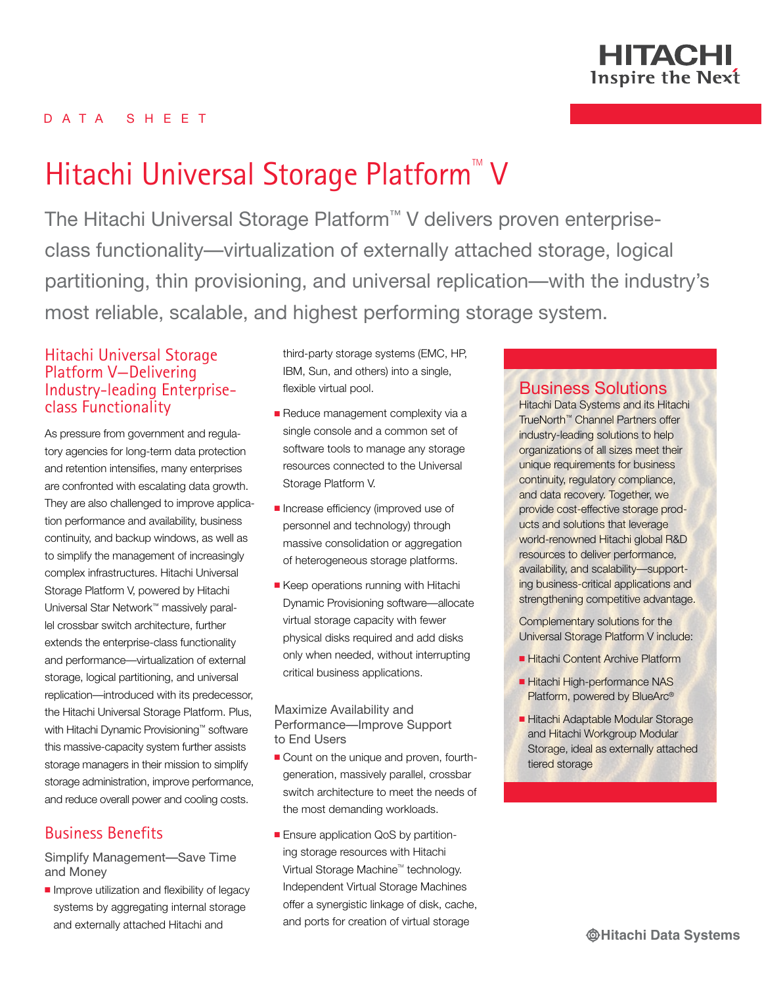

## D A T A S H E E T

# Hitachi Universal Storage Platform<sup>®</sup> V

The Hitachi Universal Storage Platform™ V delivers proven enterpriseclass functionality—virtualization of externally attached storage, logical partitioning, thin provisioning, and universal replication—with the industry's most reliable, scalable, and highest performing storage system.

## Hitachi Universal Storage Platform V—Delivering Industry-leading Enterpriseclass Functionality

As pressure from government and regulatory agencies for long-term data protection and retention intensifies, many enterprises are confronted with escalating data growth. They are also challenged to improve application performance and availability, business continuity, and backup windows, as well as to simplify the management of increasingly complex infrastructures. Hitachi Universal Storage Platform V, powered by Hitachi Universal Star Network™ massively parallel crossbar switch architecture, further extends the enterprise-class functionality and performance—virtualization of external storage, logical partitioning, and universal replication—introduced with its predecessor, the Hitachi Universal Storage Platform. Plus, with Hitachi Dynamic Provisioning™ software this massive-capacity system further assists storage managers in their mission to simplify storage administration, improve performance, and reduce overall power and cooling costs.

# Business Benefits

Simplify Management—Save Time and Money

 $\blacksquare$  Improve utilization and flexibility of legacy systems by aggregating internal storage and externally attached Hitachi and

third-party storage systems (EMC, HP, IBM, Sun, and others) into a single, flexible virtual pool.

- Reduce management complexity via a single console and a common set of software tools to manage any storage resources connected to the Universal Storage Platform V.
- **n** Increase efficiency (improved use of personnel and technology) through massive consolidation or aggregation of heterogeneous storage platforms.
- **E** Keep operations running with Hitachi Dynamic Provisioning software—allocate virtual storage capacity with fewer physical disks required and add disks only when needed, without interrupting critical business applications.

#### Maximize Availability and Performance—Improve Support to End Users

- Count on the unique and proven, fourthgeneration, massively parallel, crossbar switch architecture to meet the needs of the most demanding workloads.
- **Ensure application QoS by partition**ing storage resources with Hitachi Virtual Storage Machine™ technology. Independent Virtual Storage Machines offer a synergistic linkage of disk, cache, and ports for creation of virtual storage

## Business Solutions

Hitachi Data Systems and its Hitachi TrueNorth™ Channel Partners offer industry-leading solutions to help organizations of all sizes meet their unique requirements for business continuity, regulatory compliance, and data recovery. Together, we provide cost-effective storage products and solutions that leverage world-renowned Hitachi global R&D resources to deliver performance, availability, and scalability—supporting business-critical applications and strengthening competitive advantage.

Complementary solutions for the Universal Storage Platform V include:

- Hitachi Content Archive Platform
- Hitachi High-performance NAS Platform, powered by BlueArc®
- **Hitachi Adaptable Modular Storage** and Hitachi Workgroup Modular Storage, ideal as externally attached tiered storage